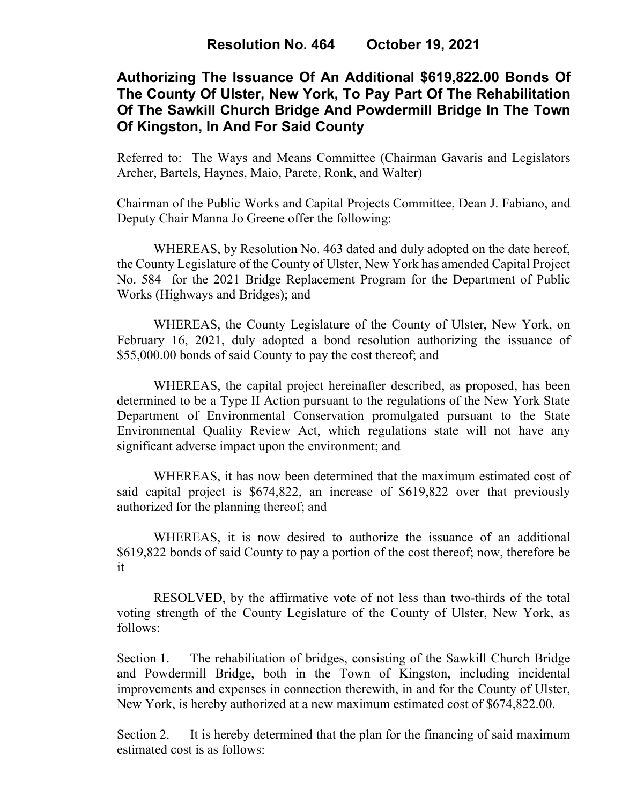# **Authorizing The Issuance Of An Additional \$619,822.00 Bonds Of The County Of Ulster, New York, To Pay Part Of The Rehabilitation Of The Sawkill Church Bridge And Powdermill Bridge In The Town Of Kingston, In And For Said County**

Referred to: The Ways and Means Committee (Chairman Gavaris and Legislators Archer, Bartels, Haynes, Maio, Parete, Ronk, and Walter)

Chairman of the Public Works and Capital Projects Committee, Dean J. Fabiano, and Deputy Chair Manna Jo Greene offer the following:

WHEREAS, by Resolution No. 463 dated and duly adopted on the date hereof, the County Legislature of the County of Ulster, New York has amended Capital Project No. 584 for the 2021 Bridge Replacement Program for the Department of Public Works (Highways and Bridges); and

WHEREAS, the County Legislature of the County of Ulster, New York, on February 16, 2021, duly adopted a bond resolution authorizing the issuance of \$55,000.00 bonds of said County to pay the cost thereof; and

WHEREAS, the capital project hereinafter described, as proposed, has been determined to be a Type II Action pursuant to the regulations of the New York State Department of Environmental Conservation promulgated pursuant to the State Environmental Quality Review Act, which regulations state will not have any significant adverse impact upon the environment; and

WHEREAS, it has now been determined that the maximum estimated cost of said capital project is \$674,822, an increase of \$619,822 over that previously authorized for the planning thereof; and

WHEREAS, it is now desired to authorize the issuance of an additional \$619,822 bonds of said County to pay a portion of the cost thereof; now, therefore be it

RESOLVED, by the affirmative vote of not less than two-thirds of the total voting strength of the County Legislature of the County of Ulster, New York, as follows:

Section 1. The rehabilitation of bridges, consisting of the Sawkill Church Bridge and Powdermill Bridge, both in the Town of Kingston, including incidental improvements and expenses in connection therewith, in and for the County of Ulster, New York, is hereby authorized at a new maximum estimated cost of \$674,822.00.

Section 2. It is hereby determined that the plan for the financing of said maximum estimated cost is as follows: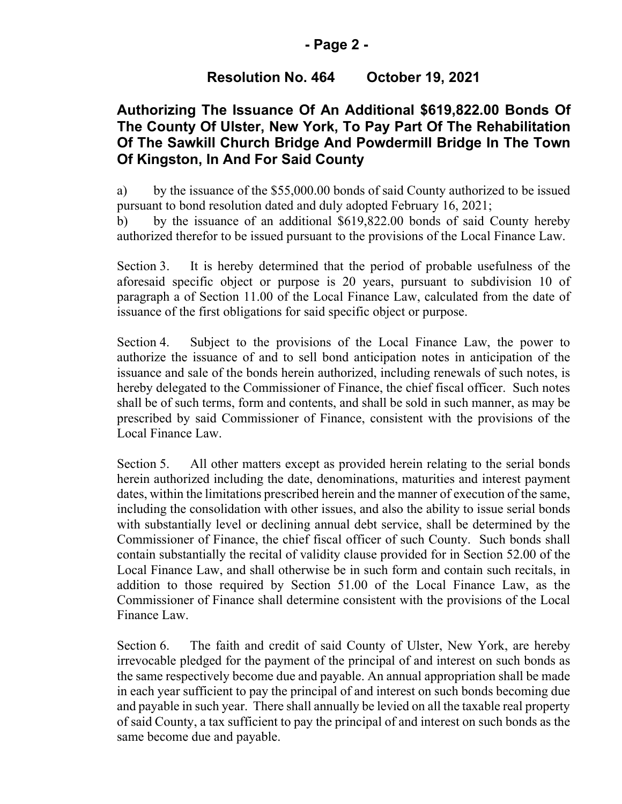### **- Page 2 -**

## **Resolution No. 464 October 19, 2021**

# **Authorizing The Issuance Of An Additional \$619,822.00 Bonds Of The County Of Ulster, New York, To Pay Part Of The Rehabilitation Of The Sawkill Church Bridge And Powdermill Bridge In The Town Of Kingston, In And For Said County**

a) by the issuance of the \$55,000.00 bonds of said County authorized to be issued pursuant to bond resolution dated and duly adopted February 16, 2021;

b) by the issuance of an additional \$619,822.00 bonds of said County hereby authorized therefor to be issued pursuant to the provisions of the Local Finance Law.

Section 3. It is hereby determined that the period of probable usefulness of the aforesaid specific object or purpose is 20 years, pursuant to subdivision 10 of paragraph a of Section 11.00 of the Local Finance Law, calculated from the date of issuance of the first obligations for said specific object or purpose.

Section 4. Subject to the provisions of the Local Finance Law, the power to authorize the issuance of and to sell bond anticipation notes in anticipation of the issuance and sale of the bonds herein authorized, including renewals of such notes, is hereby delegated to the Commissioner of Finance, the chief fiscal officer. Such notes shall be of such terms, form and contents, and shall be sold in such manner, as may be prescribed by said Commissioner of Finance, consistent with the provisions of the Local Finance Law.

Section 5. All other matters except as provided herein relating to the serial bonds herein authorized including the date, denominations, maturities and interest payment dates, within the limitations prescribed herein and the manner of execution of the same, including the consolidation with other issues, and also the ability to issue serial bonds with substantially level or declining annual debt service, shall be determined by the Commissioner of Finance, the chief fiscal officer of such County. Such bonds shall contain substantially the recital of validity clause provided for in Section 52.00 of the Local Finance Law, and shall otherwise be in such form and contain such recitals, in addition to those required by Section 51.00 of the Local Finance Law, as the Commissioner of Finance shall determine consistent with the provisions of the Local Finance Law.

Section 6. The faith and credit of said County of Ulster, New York, are hereby irrevocable pledged for the payment of the principal of and interest on such bonds as the same respectively become due and payable. An annual appropriation shall be made in each year sufficient to pay the principal of and interest on such bonds becoming due and payable in such year. There shall annually be levied on all the taxable real property of said County, a tax sufficient to pay the principal of and interest on such bonds as the same become due and payable.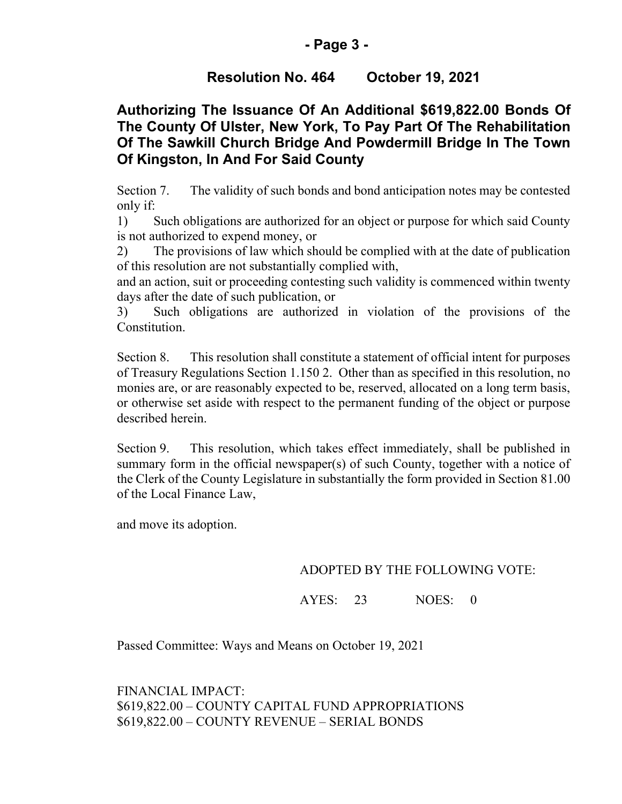### **- Page 3 -**

# **Resolution No. 464 October 19, 2021**

# **Authorizing The Issuance Of An Additional \$619,822.00 Bonds Of The County Of Ulster, New York, To Pay Part Of The Rehabilitation Of The Sawkill Church Bridge And Powdermill Bridge In The Town Of Kingston, In And For Said County**

Section 7. The validity of such bonds and bond anticipation notes may be contested only if:

1) Such obligations are authorized for an object or purpose for which said County is not authorized to expend money, or

2) The provisions of law which should be complied with at the date of publication of this resolution are not substantially complied with,

and an action, suit or proceeding contesting such validity is commenced within twenty days after the date of such publication, or

3) Such obligations are authorized in violation of the provisions of the Constitution.

Section 8. This resolution shall constitute a statement of official intent for purposes of Treasury Regulations Section 1.150 2. Other than as specified in this resolution, no monies are, or are reasonably expected to be, reserved, allocated on a long term basis, or otherwise set aside with respect to the permanent funding of the object or purpose described herein.

Section 9. This resolution, which takes effect immediately, shall be published in summary form in the official newspaper(s) of such County, together with a notice of the Clerk of the County Legislature in substantially the form provided in Section 81.00 of the Local Finance Law,

and move its adoption.

#### ADOPTED BY THE FOLLOWING VOTE:

AYES: 23 NOES: 0

Passed Committee: Ways and Means on October 19, 2021

FINANCIAL IMPACT: \$619,822.00 – COUNTY CAPITAL FUND APPROPRIATIONS \$619,822.00 – COUNTY REVENUE – SERIAL BONDS